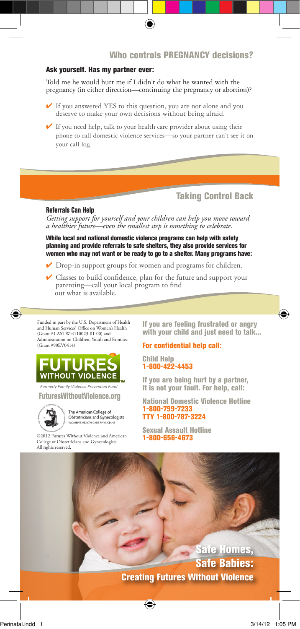# Who controls PREGNANCY decisions?

### Ask yourself. Has my partner ever:

Told me he would hurt me if I didn't do what he wanted with the pregnancy (in either direction—continuing the pregnancy or abortion)?

- $\checkmark$  If you answered YES to this question, you are not alone and you deserve to make your own decisions without being afraid.
- $\blacktriangleright$  If you need help, talk to your health care provider about using their phone to call domestic violence services—so your partner can't see it on your call log.

### Taking Control Back

#### Referrals Can Help

*Getting support for yourself and your children can help you move toward a healthier future—even the smallest step is something to celebrate.* 

While local and national domestic violence programs can help with safety planning and provide referrals to safe shelters, they also provide services for women who may not want or be ready to go to a shelter. Many programs have:

- ◆ Drop-in support groups for women and programs for children.
- ✔ Classes to build confidence, plan for the future and support your parenting—call your local program to find out what is available.

Funded in part by the U.S. Department of Health and Human Services' Office on Women's Health (Grant #1 ASTWH110023-01-00) and Administration on Children, Youth and Families. (Grant #90EV0414)



*Formerly Family Violence Prevention Fund*

FuturesWithoutViolence.org



The American College of Obstetricians and Gynecologists 

©2012 Futures Without Violence and American College of Obstetricians and Gynecologists. All rights reserved.

If you are feeling frustrated or angry with your child and just need to talk...

#### For confidential help call:

Child Help 1-800-422-4453

If you are being hurt by a partner, it is not your fault. For help, call:

National Domestic Violence Hotline 1-800-799-7233 TTY 1-800-787-3224

Sexual Assault Hotline 1-800-656-4673

Safe Homes, Safe Babies: Creating Futures Without Violence